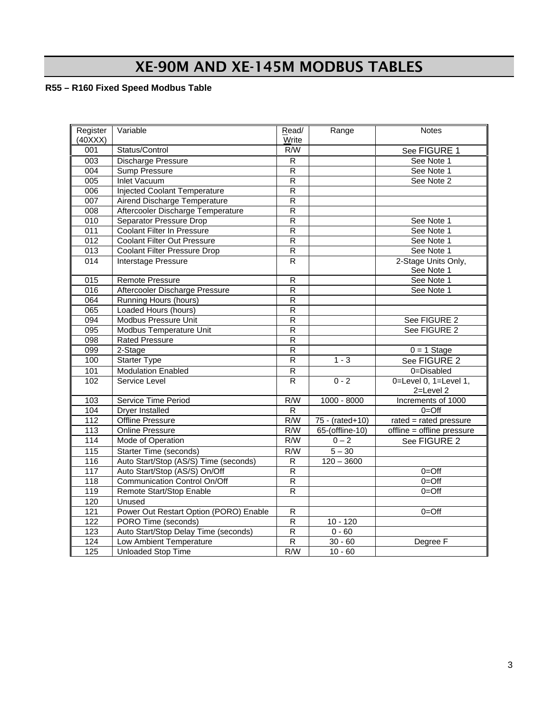## XE-90M AND XE-145M MODBUS TABLES

**R55 – R160 Fixed Speed Modbus Table** 

| Register          | Variable                               | Read/          | Range           | <b>Notes</b>                       |
|-------------------|----------------------------------------|----------------|-----------------|------------------------------------|
| (40XXX)           |                                        | Write          |                 |                                    |
| 001               | Status/Control                         | R/W            |                 | See FIGURE 1                       |
| 003               | Discharge Pressure                     | $\overline{R}$ |                 | See Note 1                         |
| 004               | <b>Sump Pressure</b>                   | $\overline{R}$ |                 | See Note 1                         |
| 005               | Inlet Vacuum                           | $\mathsf{R}$   |                 | See Note 2                         |
| 006               | Injected Coolant Temperature           | $\overline{R}$ |                 |                                    |
| 007               | Airend Discharge Temperature           | $\mathsf R$    |                 |                                    |
| $\overline{008}$  | Aftercooler Discharge Temperature      | $\overline{R}$ |                 |                                    |
| 010               | Separator Pressure Drop                | $\overline{R}$ |                 | See Note 1                         |
| $\overline{011}$  | Coolant Filter In Pressure             | $\overline{R}$ |                 | See Note 1                         |
| $\overline{012}$  | Coolant Filter Out Pressure            | $\mathsf{R}$   |                 | See Note 1                         |
| 013               | Coolant Filter Pressure Drop           | $\mathsf{R}$   |                 | See Note 1                         |
| 014               | <b>Interstage Pressure</b>             | $\mathsf{R}$   |                 | 2-Stage Units Only,                |
|                   |                                        |                |                 | See Note 1                         |
| 015               | Remote Pressure                        | ${\sf R}$      |                 | See Note 1                         |
| 016               | Aftercooler Discharge Pressure         | $\overline{R}$ |                 | See Note 1                         |
| 064               | Running Hours (hours)                  | $\overline{R}$ |                 |                                    |
| 065               | Loaded Hours (hours)                   | $\mathsf{R}$   |                 |                                    |
| 094               | Modbus Pressure Unit                   | ${\sf R}$      |                 | See FIGURE 2                       |
| 095               | Modbus Temperature Unit                | $\overline{R}$ |                 | See FIGURE 2                       |
| 098               | <b>Rated Pressure</b>                  | $\overline{R}$ |                 |                                    |
| 099               | 2-Stage                                | ${\sf R}$      |                 | $0 = 1$ Stage                      |
| 100               | <b>Starter Type</b>                    | $\overline{R}$ | $1 - 3$         | See FIGURE 2                       |
| 101               | <b>Modulation Enabled</b>              | $\mathsf{R}$   |                 | 0=Disabled                         |
| 102               | Service Level                          | $\mathsf{R}$   | $0 - 2$         | 0=Level 0, 1=Level 1,<br>2=Level 2 |
| 103               | Service Time Period                    | R/W            | $1000 - 8000$   | Increments of 1000                 |
| 104               | Dryer Installed                        | $\overline{R}$ |                 | $0=Off$                            |
| $\frac{11}{2}$    | <b>Offline Pressure</b>                | R/W            | 75 - (rated+10) | rated = rated pressure             |
| 113               | Online Pressure                        | R/W            | 65-(offline-10) | offline = offline pressure         |
| 114               | Mode of Operation                      | R/W            | $0 - 2$         | See FIGURE 2                       |
| $\frac{115}{115}$ | <b>Starter Time (seconds)</b>          | R/W            | $5 - 30$        |                                    |
| $\frac{116}{116}$ | Auto Start/Stop (AS/S) Time (seconds)  | $\mathsf{R}$   | $120 - 3600$    |                                    |
| 117               | Auto Start/Stop (AS/S) On/Off          | $\overline{R}$ |                 | $0=Off$                            |
| 118               | Communication Control On/Off           | $\mathsf{R}$   |                 | $0 =$ Off                          |
| 119               | Remote Start/Stop Enable               | R              |                 | $0=Off$                            |
| 120               | Unused                                 |                |                 |                                    |
| 121               | Power Out Restart Option (PORO) Enable | ${\sf R}$      |                 | $0 =$ Off                          |
| 122               | PORO Time (seconds)                    | $\overline{R}$ | $10 - 120$      |                                    |
| 123               | Auto Start/Stop Delay Time (seconds)   | ${\sf R}$      | $0 - 60$        |                                    |
| 124               | Low Ambient Temperature                | $\overline{R}$ | $30 - 60$       | Degree F                           |
| 125               | <b>Unloaded Stop Time</b>              | R/W            | $10 - 60$       |                                    |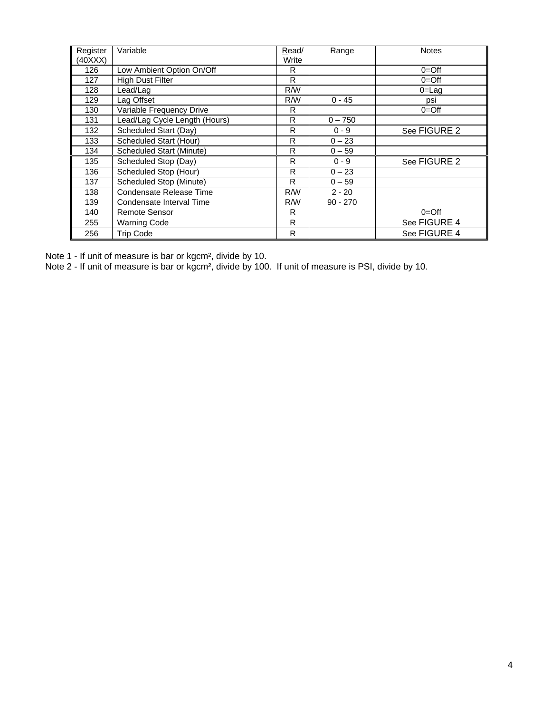| Register<br>(40XXX) | Variable                       | Read/<br>Write | Range      | <b>Notes</b> |
|---------------------|--------------------------------|----------------|------------|--------------|
| 126                 | Low Ambient Option On/Off      | R              |            | $0 =$ Off    |
| 127                 | <b>High Dust Filter</b>        | R              |            | $0 =$ Off    |
| 128                 | Lead/Lag                       | R/W            |            | $0 = Lag$    |
| 129                 | Lag Offset                     | R/W            | $0 - 45$   | psi          |
| 130                 | Variable Frequency Drive       | R              |            | $0 =$ Off    |
| 131                 | Lead/Lag Cycle Length (Hours)  | R              | $0 - 750$  |              |
| 132                 | Scheduled Start (Day)          | R              | $0 - 9$    | See FIGURE 2 |
| 133                 | Scheduled Start (Hour)         | R              | $0 - 23$   |              |
| 134                 | Scheduled Start (Minute)       | R              | $0 - 59$   |              |
| 135                 | Scheduled Stop (Day)           | R              | $0 - 9$    | See FIGURE 2 |
| 136                 | Scheduled Stop (Hour)          | R              | $0 - 23$   |              |
| 137                 | <b>Scheduled Stop (Minute)</b> | R              | $0 - 59$   |              |
| 138                 | Condensate Release Time        | R/W            | $2 - 20$   |              |
| 139                 | Condensate Interval Time       | R/W            | $90 - 270$ |              |
| 140                 | Remote Sensor                  | R              |            | $0=O$ ff     |
| 255                 | <b>Warning Code</b>            | R              |            | See FIGURE 4 |
| 256                 | <b>Trip Code</b>               | R              |            | See FIGURE 4 |

Note 1 - If unit of measure is bar or kgcm², divide by 10.

Note 2 - If unit of measure is bar or kgcm², divide by 100. If unit of measure is PSI, divide by 10.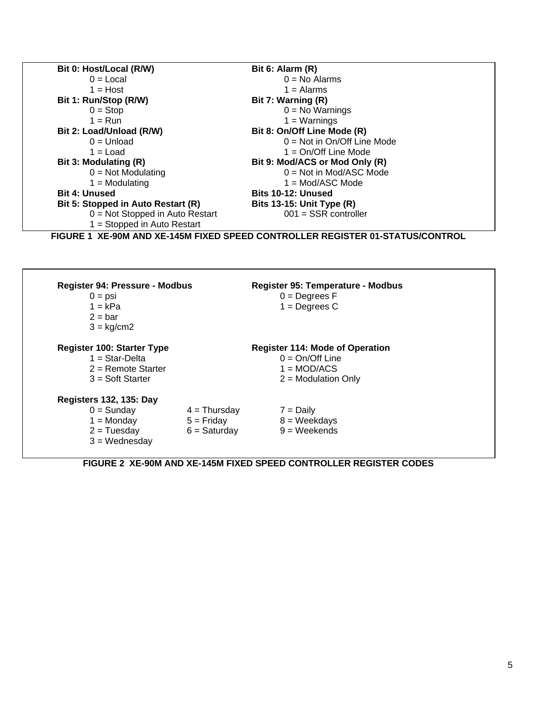| Bit 0: Host/Local (R/W)            | Bit 6: Alarm (R)                                                              |
|------------------------------------|-------------------------------------------------------------------------------|
| $0 =$ Local                        | $0 = No$ Alarms                                                               |
| $1 = Host$                         | $1 =$ Alarms                                                                  |
| Bit 1: Run/Stop (R/W)              | Bit 7: Warning (R)                                                            |
| $0 = Stop$                         | $0 = No$ Warnings                                                             |
| $1 = \text{Run}$                   | $1 =$ Warnings                                                                |
| Bit 2: Load/Unload (R/W)           | Bit 8: On/Off Line Mode (R)                                                   |
| $0 =$ Unload                       | $0 = Not in On/Off Line Mode$                                                 |
| $1 =$ Load                         | $1 = On/Off$ Line Mode                                                        |
| Bit 3: Modulating (R)              | Bit 9: Mod/ACS or Mod Only (R)                                                |
| $0 = Not Modulating$               | $0 = Not in Mod/ASC Mode$                                                     |
| $1 = Modulating$                   | $1 = Mod/ASC Mode$                                                            |
| <b>Bit 4: Unused</b>               | Bits 10-12: Unused                                                            |
| Bit 5: Stopped in Auto Restart (R) | <b>Bits 13-15: Unit Type (R)</b>                                              |
| $0 = Not$ Stopped in Auto Restart  | $001 = SSR controller$                                                        |
| 1 = Stopped in Auto Restart        |                                                                               |
|                                    | FIGURE 1 XE-90M AND XE-145M FIXED SPEED CONTROLLER REGISTER 01-STATUS/CONTROL |

| Register 94: Pressure - Modbus<br>$0 = \text{psi}$<br>$1 = kPa$<br>$2 = bar$<br>$3 = \text{kg/cm2}$ |                                                  | Register 95: Temperature - Modbus<br>$0 =$ Degrees F<br>$1 =$ Degrees C                               |
|-----------------------------------------------------------------------------------------------------|--------------------------------------------------|-------------------------------------------------------------------------------------------------------|
| <b>Register 100: Starter Type</b><br>$1 = Star-Delta$<br>$2$ = Remote Starter<br>$3 = Soft$ Starter |                                                  | <b>Register 114: Mode of Operation</b><br>$0 = On/Off$ Line<br>$1 = MOD/ACS$<br>$2 =$ Modulation Only |
| <b>Registers 132, 135: Day</b><br>$0 =$ Sunday<br>$1 =$ Monday<br>$2 = Tuesday$<br>$3 =$ Wednesday  | $4 =$ Thursday<br>$5 =$ Friday<br>$6 =$ Saturday | $7 =$ Daily<br>$8 =$ Weekdays<br>$9 = Weekends$                                                       |

**FIGURE 2 XE-90M AND XE-145M FIXED SPEED CONTROLLER REGISTER CODES**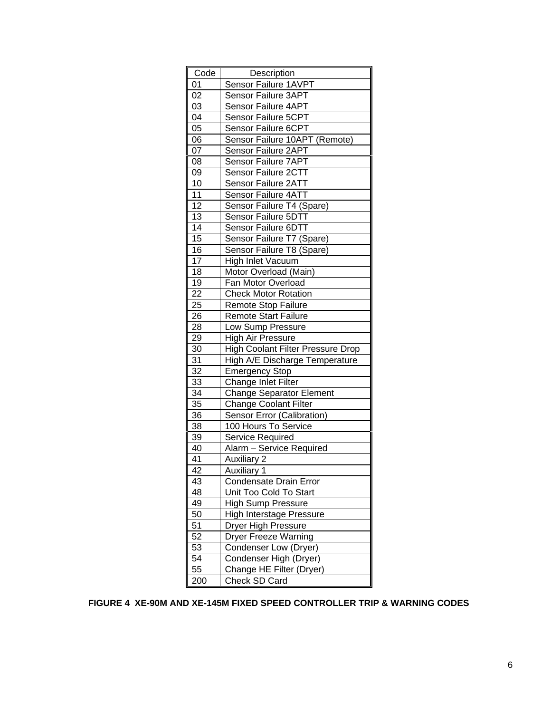| Code            | Description                       |
|-----------------|-----------------------------------|
| 01              | Sensor Failure 1AVPT              |
| 02              | Sensor Failure 3APT               |
| 03              | Sensor Failure 4APT               |
| 04              | Sensor Failure 5CPT               |
| 05              | Sensor Failure 6CPT               |
| 06              | Sensor Failure 10APT (Remote)     |
| 07              | Sensor Failure 2APT               |
| 08              | Sensor Failure 7APT               |
| 09              | Sensor Failure 2CTT               |
| 10              | Sensor Failure 2ATT               |
| 11              | Sensor Failure 4ATT               |
| 12              | Sensor Failure T4 (Spare)         |
| 13              | Sensor Failure 5DTT               |
| 14              | Sensor Failure 6DTT               |
| 15              | Sensor Failure T7 (Spare)         |
| 16              | Sensor Failure T8 (Spare)         |
| 17              | High Inlet Vacuum                 |
| 18              | Motor Overload (Main)             |
| 19              | Fan Motor Overload                |
| 22              | <b>Check Motor Rotation</b>       |
| 25              | <b>Remote Stop Failure</b>        |
| 26              | <b>Remote Start Failure</b>       |
| 28              | Low Sump Pressure                 |
| 29              | <b>High Air Pressure</b>          |
| 30              | High Coolant Filter Pressure Drop |
| 31              | High A/E Discharge Temperature    |
| 32              | <b>Emergency Stop</b>             |
| 33              | Change Inlet Filter               |
| 34              | <b>Change Separator Element</b>   |
| 35              | Change Coolant Filter             |
| 36              | <b>Sensor Error (Calibration)</b> |
| 38              | 100 Hours To Service              |
| 39              | Service Required                  |
| 40              | Alarm - Service Required          |
| 41              | <b>Auxiliary 2</b>                |
| $\overline{42}$ | Auxiliary 1                       |
| 43              | <b>Condensate Drain Error</b>     |
| 48              | Unit Too Cold To Start            |
| 49              | <b>High Sump Pressure</b>         |
| 50              | High Interstage Pressure          |
| 51              | Dryer High Pressure               |
| 52              | <b>Dryer Freeze Warning</b>       |
| 53              | Condenser Low (Dryer)             |
| 54              | Condenser High (Dryer)            |
| 55              | Change HE Filter (Dryer)          |
| 200             | Check SD Card                     |

**FIGURE 4 XE-90M AND XE-145M FIXED SPEED CONTROLLER TRIP & WARNING CODES**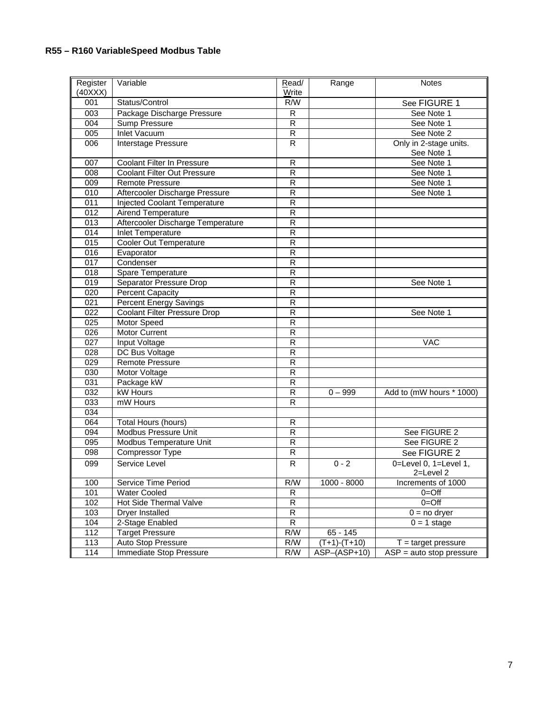| Register<br>(40XXX) | Variable                            | Read/<br>Write          | Range          | <b>Notes</b>                       |
|---------------------|-------------------------------------|-------------------------|----------------|------------------------------------|
| 001                 | Status/Control                      | R/W                     |                | See FIGURE 1                       |
| 003                 | Package Discharge Pressure          | $\overline{R}$          |                | See Note 1                         |
| 004                 | Sump Pressure                       | $\overline{R}$          |                | See Note 1                         |
| 005                 | <b>Inlet Vacuum</b>                 | $\mathsf R$             |                | See Note 2                         |
| 006                 | Interstage Pressure                 | R                       |                | Only in 2-stage units.             |
|                     |                                     |                         |                | See Note 1                         |
| 007                 | <b>Coolant Filter In Pressure</b>   | R                       |                | See Note 1                         |
| 008                 | <b>Coolant Filter Out Pressure</b>  | $\overline{R}$          |                | See Note 1                         |
| 009                 | <b>Remote Pressure</b>              | R                       |                | See Note 1                         |
| 010                 | Aftercooler Discharge Pressure      | $\overline{R}$          |                | See Note 1                         |
| 011                 | <b>Injected Coolant Temperature</b> | ${\sf R}$               |                |                                    |
| 012                 | Airend Temperature                  | R                       |                |                                    |
| 013                 | Aftercooler Discharge Temperature   | $\overline{\mathsf{R}}$ |                |                                    |
| 014                 | <b>Inlet Temperature</b>            | R                       |                |                                    |
| $\overline{015}$    | Cooler Out Temperature              | $\overline{R}$          |                |                                    |
| 016                 | Evaporator                          | $\overline{R}$          |                |                                    |
| $\overline{017}$    | Condenser                           | $\overline{R}$          |                |                                    |
| 018                 | Spare Temperature                   | R                       |                |                                    |
| 019                 | Separator Pressure Drop             | R                       |                | See Note 1                         |
| 020                 | <b>Percent Capacity</b>             | $\overline{R}$          |                |                                    |
| 021                 | Percent Energy Savings              | $\overline{R}$          |                |                                    |
| $\overline{022}$    | Coolant Filter Pressure Drop        | $\overline{R}$          |                | See Note 1                         |
| 025                 | <b>Motor Speed</b>                  | $\overline{R}$          |                |                                    |
| 026                 | Motor Current                       | R                       |                |                                    |
| 027                 | Input Voltage                       | $\mathsf R$             |                | <b>VAC</b>                         |
| 028                 | DC Bus Voltage                      | R                       |                |                                    |
| 029                 | Remote Pressure                     | $\overline{\mathsf{R}}$ |                |                                    |
| 030                 | Motor Voltage                       | $\overline{\mathsf{R}}$ |                |                                    |
| 031                 | Package kW                          | R                       |                |                                    |
| 032                 | kW Hours                            | $\overline{R}$          | $0 - 999$      | Add to (mW hours * 1000)           |
| 033                 | mW Hours                            | $\mathsf R$             |                |                                    |
| 034                 |                                     |                         |                |                                    |
| 064                 | Total Hours (hours)                 | $\mathsf R$             |                |                                    |
| 094                 | Modbus Pressure Unit                | R                       |                | See FIGURE 2                       |
| 095                 | Modbus Temperature Unit             | $\overline{R}$          |                | See FIGURE 2                       |
| 098                 | Compressor Type                     | $\overline{R}$          |                | See FIGURE 2                       |
| 099                 | Service Level                       | $\mathsf{R}$            | $0 - 2$        | 0=Level 0, 1=Level 1,<br>2=Level 2 |
| 100                 | Service Time Period                 | R/W                     | 1000 - 8000    | Increments of 1000                 |
| 101                 | Water Cooled                        | R                       |                | $0=Off$                            |
| 102                 | Hot Side Thermal Valve              | $\overline{R}$          |                | $0 =$ Off                          |
| 103                 | Dryer Installed                     | R                       |                | $0 = no$ dryer                     |
| 104                 | 2-Stage Enabled                     | $\overline{R}$          |                | $0 = 1$ stage                      |
| 112                 | <b>Target Pressure</b>              | $\overline{R}/W$        | 65 - 145       |                                    |
| 113                 | Auto Stop Pressure                  | R/W                     | $(T+1)-(T+10)$ | $T = \text{target pressure}$       |
| 114                 | Immediate Stop Pressure             | R/W                     | ASP-(ASP+10)   | $ASP = auto stop pressure$         |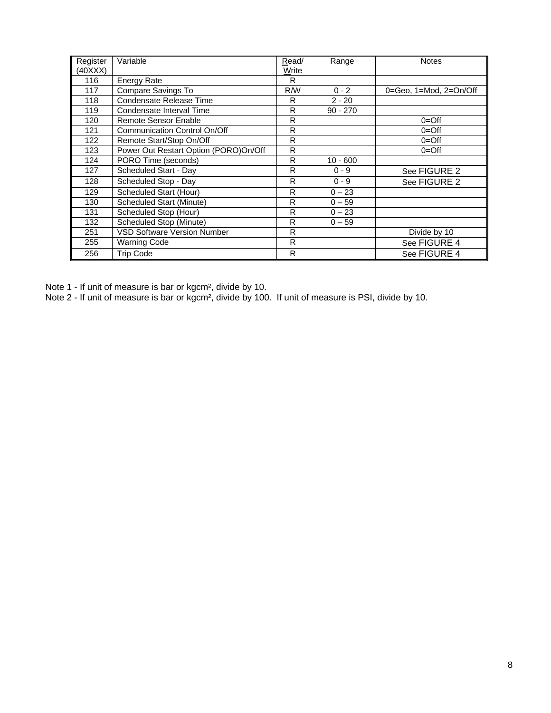| Register<br>(40XXX) | Variable                              | Read/<br>Write | Range      | <b>Notes</b>           |
|---------------------|---------------------------------------|----------------|------------|------------------------|
| 116                 | <b>Energy Rate</b>                    | R              |            |                        |
| 117                 | Compare Savings To                    | R/W            | $0 - 2$    | 0=Geo, 1=Mod, 2=On/Off |
| 118                 | Condensate Release Time               | R              | $2 - 20$   |                        |
| 119                 | Condensate Interval Time              | R              | $90 - 270$ |                        |
| 120                 | Remote Sensor Enable                  | R              |            | $0 =$ Off              |
| 121                 | Communication Control On/Off          | R              |            | $0 =$ Off              |
| 122                 | Remote Start/Stop On/Off              | R              |            | $0 =$ Off              |
| 123                 | Power Out Restart Option (PORO)On/Off | R              |            | $0 =$ Off              |
| 124                 | PORO Time (seconds)                   | R              | $10 - 600$ |                        |
| 127                 | Scheduled Start - Day                 | R              | $0 - 9$    | See FIGURE 2           |
| 128                 | Scheduled Stop - Day                  | R              | $0 - 9$    | See FIGURE 2           |
| 129                 | Scheduled Start (Hour)                | R              | $0 - 23$   |                        |
| 130                 | Scheduled Start (Minute)              | R              | $0 - 59$   |                        |
| 131                 | Scheduled Stop (Hour)                 | R              | $0 - 23$   |                        |
| 132                 | Scheduled Stop (Minute)               | R              | $0 - 59$   |                        |
| 251                 | <b>VSD Software Version Number</b>    | R              |            | Divide by 10           |
| 255                 | Warning Code                          | R              |            | See FIGURE 4           |
| 256                 | Trip Code                             | R              |            | See FIGURE 4           |

Note 1 - If unit of measure is bar or kgcm², divide by 10.

Note 2 - If unit of measure is bar or kgcm², divide by 100. If unit of measure is PSI, divide by 10.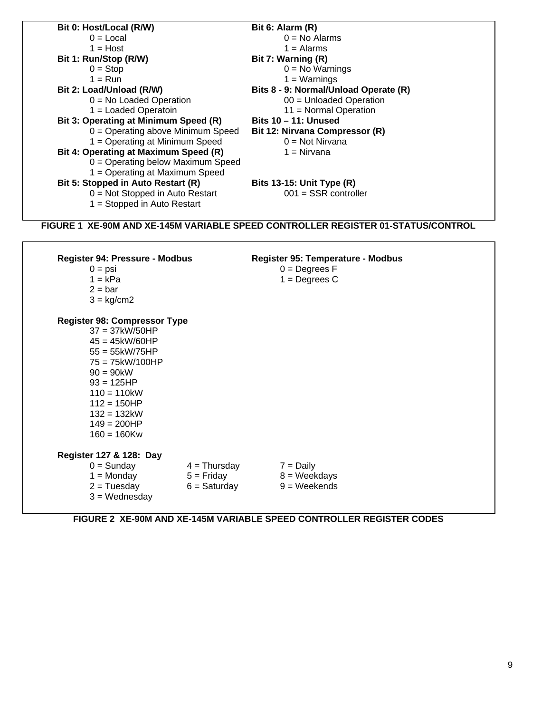| Bit 0: Host/Local (R/W)               | Bit 6: Alarm (R)                                                                 |  |  |
|---------------------------------------|----------------------------------------------------------------------------------|--|--|
| $0 = Local$                           | $0 = No$ Alarms                                                                  |  |  |
| $1 = Host$                            | $1 =$ Alarms                                                                     |  |  |
| Bit 1: Run/Stop (R/W)                 | Bit 7: Warning (R)                                                               |  |  |
| $0 = Stop$                            | $0 = No$ Warnings                                                                |  |  |
| $1 = Run$                             | $1 = Warnings$                                                                   |  |  |
| Bit 2: Load/Unload (R/W)              | Bits 8 - 9: Normal/Unload Operate (R)                                            |  |  |
| $0 = No$ Loaded Operation             | 00 = Unloaded Operation                                                          |  |  |
| $1 =$ Loaded Operatoin                | 11 = Normal Operation                                                            |  |  |
| Bit 3: Operating at Minimum Speed (R) | <b>Bits 10 - 11: Unused</b>                                                      |  |  |
| $0 =$ Operating above Minimum Speed   | <b>Bit 12: Nirvana Compressor (R)</b>                                            |  |  |
| 1 = Operating at Minimum Speed        | $0 = Not Nirvana$                                                                |  |  |
| Bit 4: Operating at Maximum Speed (R) | $1 = Nirvana$                                                                    |  |  |
| 0 = Operating below Maximum Speed     |                                                                                  |  |  |
| 1 = Operating at Maximum Speed        |                                                                                  |  |  |
| Bit 5: Stopped in Auto Restart (R)    | <b>Bits 13-15: Unit Type (R)</b>                                                 |  |  |
| $0 = Not$ Stopped in Auto Restart     | $001 = SSR controller$                                                           |  |  |
| 1 = Stopped in Auto Restart           |                                                                                  |  |  |
|                                       |                                                                                  |  |  |
|                                       | FIGURE 1 XE-90M AND XE-145M VARIABLE SPEED CONTROLLER REGISTER 01-STATUS/CONTROL |  |  |
|                                       |                                                                                  |  |  |
|                                       |                                                                                  |  |  |
|                                       |                                                                                  |  |  |
| Register 94: Pressure - Modbus        | Register 95: Temperature - Modbus                                                |  |  |
| $0 = psi$                             | $0 =$ Degrees F                                                                  |  |  |
| $1 = kPa$                             | $1 =$ Degrees C                                                                  |  |  |
| $2 = bar$                             |                                                                                  |  |  |
| $3 = \text{kg/cm2}$                   |                                                                                  |  |  |
|                                       |                                                                                  |  |  |
| <b>Register 98: Compressor Type</b>   |                                                                                  |  |  |
| $37 = 37kW/50HP$                      |                                                                                  |  |  |
| $45 = 45$ kW/60HP                     |                                                                                  |  |  |
| $55 = 55$ kW/75HP                     |                                                                                  |  |  |
| $75 = 75kW/100HP$                     |                                                                                  |  |  |
| $90 = 90kW$                           |                                                                                  |  |  |
| $93 = 125HP$                          |                                                                                  |  |  |
| $110 = 110kW$                         |                                                                                  |  |  |
| $112 = 150HP$                         |                                                                                  |  |  |
| $132 = 132kW$                         |                                                                                  |  |  |
| $149 = 200HP$                         |                                                                                  |  |  |
| $160 = 160$ Kw                        |                                                                                  |  |  |
| Register 127 & 128: Day               |                                                                                  |  |  |
| $0 =$ Sunday<br>$4 = Thursday$        | $7 = Daily$                                                                      |  |  |
| $1 =$ Monday<br>$5 =$ Friday          | $8 =$ Weekdays                                                                   |  |  |
| $2 = Tuesday$<br>$6 =$ Saturday       | $9 = Weekends$                                                                   |  |  |

**FIGURE 2 XE-90M AND XE-145M VARIABLE SPEED CONTROLLER REGISTER CODES**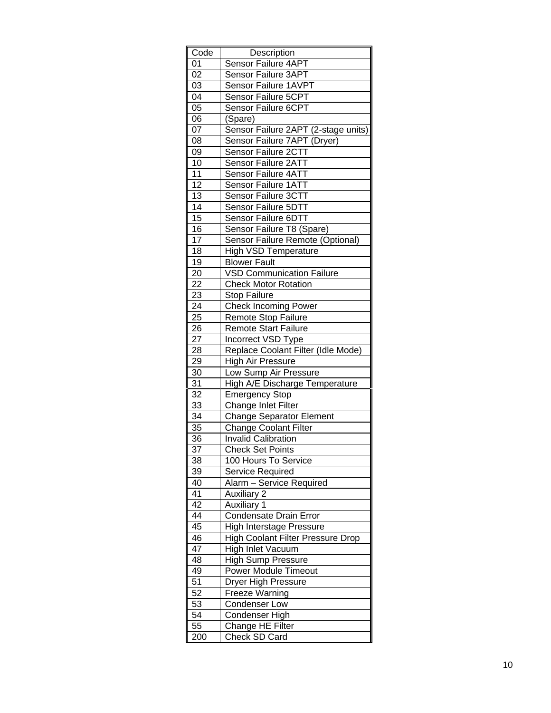| Code            | Description                              |
|-----------------|------------------------------------------|
| 01              | Sensor Failure 4APT                      |
| 02              | Sensor Failure 3APT                      |
| 03              | Sensor Failure 1AVPT                     |
| 04              | Sensor Failure 5CPT                      |
| 05              | Sensor Failure 6CPT                      |
| 06              | (Spare)                                  |
| 07              | Sensor Failure 2APT (2-stage units)      |
| 08              | Sensor Failure 7APT (Dryer)              |
| 09              | Sensor Failure 2CTT                      |
| 10              | Sensor Failure 2ATT                      |
| 11              | <b>Sensor Failure 4ATT</b>               |
| $\overline{12}$ | Sensor Failure 1ATT                      |
| 13              | Sensor Failure 3CTT                      |
| 14              | Sensor Failure 5DTT                      |
| 15              | Sensor Failure 6DTT                      |
| 16              | Sensor Failure T8 (Spare)                |
| 17              | Sensor Failure Remote (Optional)         |
| $\overline{18}$ | <b>High VSD Temperature</b>              |
| 19              | <b>Blower Fault</b>                      |
| $\overline{20}$ | <b>VSD Communication Failure</b>         |
| 22              | <b>Check Motor Rotation</b>              |
| 23              | <b>Stop Failure</b>                      |
| $2\overline{4}$ | <b>Check Incoming Power</b>              |
| 25              | Remote Stop Failure                      |
| 26              | <b>Remote Start Failure</b>              |
| 27              | Incorrect VSD Type                       |
| 28              | Replace Coolant Filter (Idle Mode)       |
| 29              | High Air Pressure                        |
| 30              | Low Sump Air Pressure                    |
| 31              | High A/E Discharge Temperature           |
| 32              | <b>Emergency Stop</b>                    |
| 33              | Change Inlet Filter                      |
| 34              | <b>Change Separator Element</b>          |
| 35              | <b>Change Coolant Filter</b>             |
| 36              | <b>Invalid Calibration</b>               |
| 37              | <b>Check Set Points</b>                  |
| 38              | 100 Hours To Service                     |
| 39              | Service Required                         |
| 40              | Alarm - Service Required                 |
| 41              | <b>Auxiliary 2</b>                       |
| 42              | <b>Auxiliary 1</b>                       |
| 44              | Condensate Drain Error                   |
| 45              | High Interstage Pressure                 |
| 46              | <b>High Coolant Filter Pressure Drop</b> |
| 47              | High Inlet Vacuum                        |
| 48              | <b>High Sump Pressure</b>                |
| 49              | Power Module Timeout                     |
| 51              | Dryer High Pressure                      |
| 52              | <b>Freeze Warning</b>                    |
| 53              | <b>Condenser Low</b>                     |
| 54              | Condenser High                           |
| 55              | Change HE Filter                         |
| 200             | Check SD Card                            |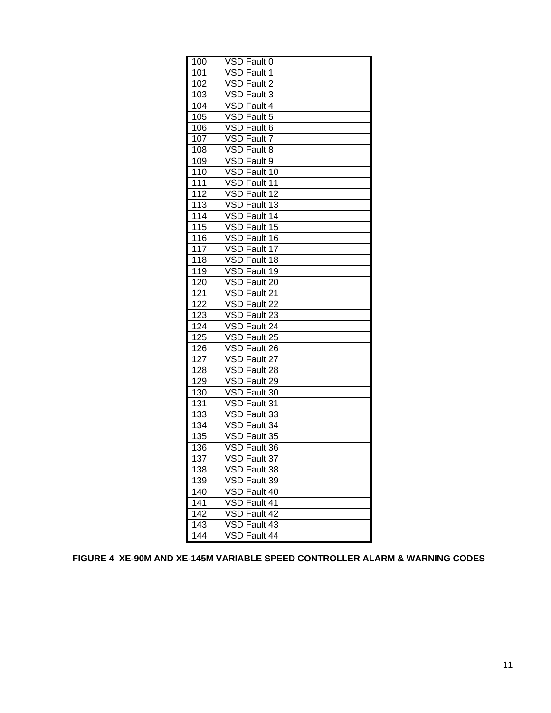| 100 | VSD Fault 0  |
|-----|--------------|
| 101 | VSD Fault 1  |
| 102 | VSD Fault 2  |
| 103 | VSD Fault 3  |
| 104 | VSD Fault 4  |
| 105 | VSD Fault 5  |
| 106 | VSD Fault 6  |
| 107 | VSD Fault 7  |
| 108 | VSD Fault 8  |
| 109 | VSD Fault 9  |
| 110 | VSD Fault 10 |
| 111 | VSD Fault 11 |
| 112 | VSD Fault 12 |
| 113 | VSD Fault 13 |
| 114 | VSD Fault 14 |
| 115 | VSD Fault 15 |
| 116 | VSD Fault 16 |
| 117 | VSD Fault 17 |
| 118 | VSD Fault 18 |
| 119 | VSD Fault 19 |
| 120 | VSD Fault 20 |
| 121 | VSD Fault 21 |
| 122 | VSD Fault 22 |
| 123 | VSD Fault 23 |
| 124 | VSD Fault 24 |
| 125 | VSD Fault 25 |
| 126 | VSD Fault 26 |
| 127 | VSD Fault 27 |
| 128 | VSD Fault 28 |
| 129 | VSD Fault 29 |
| 130 | VSD Fault 30 |
| 131 | VSD Fault 31 |
| 133 | VSD Fault 33 |
| 134 | VSD Fault 34 |
| 135 | VSD Fault 35 |
| 136 | VSD Fault 36 |
| 137 | VSD Fault 37 |
| 138 | VSD Fault 38 |
| 139 | VSD Fault 39 |
| 140 | VSD Fault 40 |
| 141 | VSD Fault 41 |
| 142 | VSD Fault 42 |
| 143 | VSD Fault 43 |
| 144 | VSD Fault 44 |

### **FIGURE 4 XE-90M AND XE-145M VARIABLE SPEED CONTROLLER ALARM & WARNING CODES**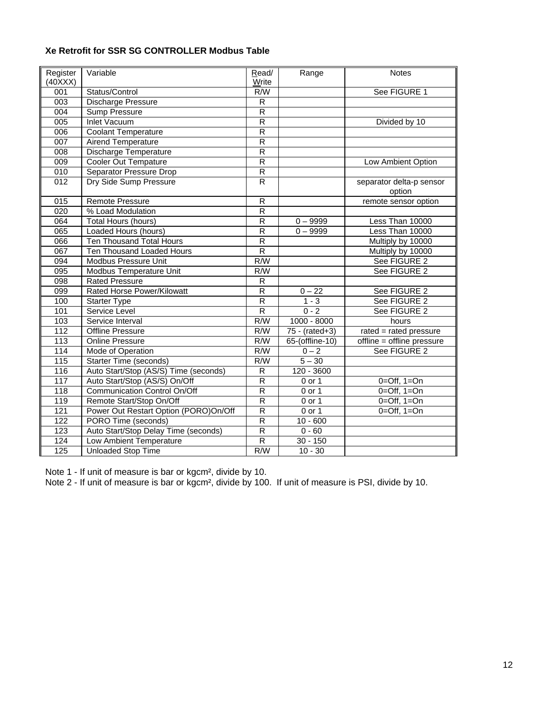### **Xe Retrofit for SSR SG CONTROLLER Modbus Table**

| Register<br>(40XXX) | Variable                              | Read/<br>Write | Range                       | <b>Notes</b>                       |
|---------------------|---------------------------------------|----------------|-----------------------------|------------------------------------|
| 001                 | Status/Control                        | R/W            |                             | See FIGURE 1                       |
| 003                 | Discharge Pressure                    | $\mathsf{R}$   |                             |                                    |
| 004                 | Sump Pressure                         | $\mathsf{R}$   |                             |                                    |
| 005                 | Inlet Vacuum                          | $\overline{R}$ |                             | Divided by 10                      |
| 006                 | <b>Coolant Temperature</b>            | ${\sf R}$      |                             |                                    |
| 007                 | Airend Temperature                    | $\mathsf{R}$   |                             |                                    |
| 008                 | Discharge Temperature                 | ${\sf R}$      |                             |                                    |
| 009                 | <b>Cooler Out Tempature</b>           | ${\sf R}$      |                             | Low Ambient Option                 |
| 010                 | Separator Pressure Drop               | $\overline{R}$ |                             |                                    |
| 012                 | Dry Side Sump Pressure                | $\mathsf{R}$   |                             | separator delta-p sensor<br>option |
| 015                 | Remote Pressure                       | ${\sf R}$      |                             | remote sensor option               |
| $\overline{020}$    | % Load Modulation                     | $\overline{R}$ |                             |                                    |
| 064                 | Total Hours (hours)                   | $\overline{R}$ | $0 - 9999$                  | Less Than 10000                    |
| 065                 | Loaded Hours (hours)                  | ${\sf R}$      | $0 - 9999$                  | Less Than 10000                    |
| 066                 | Ten Thousand Total Hours              | $\overline{R}$ |                             | Multiply by 10000                  |
| 067                 | Ten Thousand Loaded Hours             | $\mathsf{R}$   |                             | Multiply by 10000                  |
| 094                 | Modbus Pressure Unit                  | R/W            |                             | See FIGURE 2                       |
| 095                 | Modbus Temperature Unit               | R/W            |                             | See FIGURE 2                       |
| 098                 | <b>Rated Pressure</b>                 | R              |                             |                                    |
| 099                 | Rated Horse Power/Kilowatt            | $\overline{R}$ | $0 - 22$                    | See FIGURE 2                       |
| 100                 | <b>Starter Type</b>                   | ${\sf R}$      | $1 - 3$                     | See FIGURE 2                       |
| 101                 | Service Level                         | $\overline{R}$ | $0 - 2$                     | See FIGURE 2                       |
| 103                 | Service Interval                      | R/W            | $1000 - 8000$               | hours                              |
| 112                 | Offline Pressure                      | R/W            | $\overline{75}$ - (rated+3) | rated = rated pressure             |
| 113                 | Online Pressure                       | R/W            | 65-(offline-10)             | offline = offline pressure         |
| 114                 | Mode of Operation                     | R/W            | $0 - 2$                     | See FIGURE 2                       |
| 115                 | <b>Starter Time (seconds)</b>         | R/W            | $5 - 30$                    |                                    |
| 116                 | Auto Start/Stop (AS/S) Time (seconds) | R              | $120 - 3600$                |                                    |
| 117                 | Auto Start/Stop (AS/S) On/Off         | R              | 0 or 1                      | $0=Off, 1=On$                      |
| 118                 | Communication Control On/Off          | $\overline{R}$ | 0 or 1                      | $0=Off, 1=On$                      |
| 119                 | Remote Start/Stop On/Off              | $\mathsf{R}$   | $0$ or 1                    | $0=Off, 1=On$                      |
| 121                 | Power Out Restart Option (PORO)On/Off | $\overline{R}$ | 0 or 1                      | $0=Off, 1=On$                      |
| 122                 | PORO Time (seconds)                   | ${\sf R}$      | $10 - 600$                  |                                    |
| 123                 | Auto Start/Stop Delay Time (seconds)  | $\overline{R}$ | $0 - 60$                    |                                    |
| 124                 | Low Ambient Temperature               | $\overline{R}$ | $30 - 150$                  |                                    |
| 125                 | Unloaded Stop Time                    | R/W            | $10 - 30$                   |                                    |

Note 1 - If unit of measure is bar or kgcm², divide by 10.

Note 2 - If unit of measure is bar or kgcm², divide by 100. If unit of measure is PSI, divide by 10.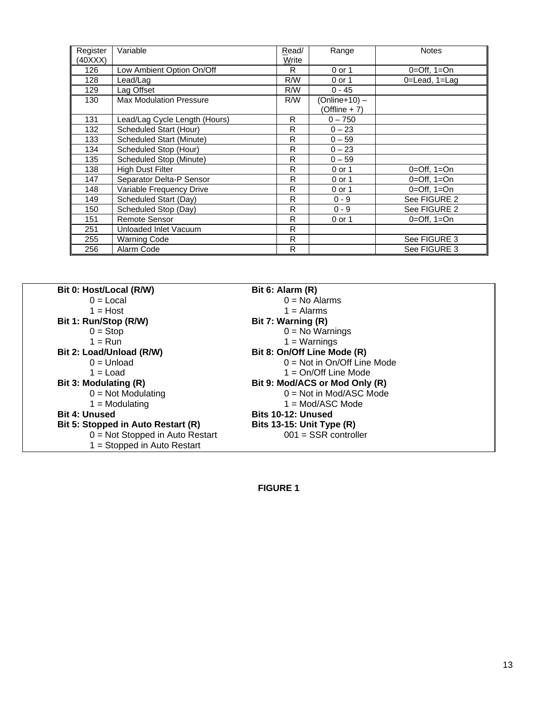| Register | Variable                       | Read/ | Range           | <b>Notes</b>  |
|----------|--------------------------------|-------|-----------------|---------------|
| (40XXX)  |                                | Write |                 |               |
| 126      | Low Ambient Option On/Off      | R     | 0 or 1          | $0=Off, 1=On$ |
| 128      | Lead/Lag                       | R/W   | 0 or 1          | 0=Lead, 1=Lag |
| 129      | Lag Offset                     | R/W   | $0 - 45$        |               |
| 130      | <b>Max Modulation Pressure</b> | R/W   | (Online+10) –   |               |
|          |                                |       | $(Offline + 7)$ |               |
| 131      | Lead/Lag Cycle Length (Hours)  | R.    | $0 - 750$       |               |
| 132      | Scheduled Start (Hour)         | R     | $0 - 23$        |               |
| 133      | Scheduled Start (Minute)       | R     | $0 - 59$        |               |
| 134      | Scheduled Stop (Hour)          | R     | $0 - 23$        |               |
| 135      | Scheduled Stop (Minute)        | R     | $0 - 59$        |               |
| 138      | High Dust Filter               | R     | 0 or 1          | $0=Off, 1=On$ |
| 147      | Separator Delta-P Sensor       | R     | 0 or 1          | $0=Off, 1=On$ |
| 148      | Variable Frequency Drive       | R     | 0 or 1          | $0=Off, 1=On$ |
| 149      | Scheduled Start (Day)          | R     | $0 - 9$         | See FIGURE 2  |
| 150      | Scheduled Stop (Day)           | R     | $0 - 9$         | See FIGURE 2  |
| 151      | Remote Sensor                  | R     | 0 or 1          | $0=Off, 1=On$ |
| 251      | Unloaded Inlet Vacuum          | R     |                 |               |
| 255      | Warning Code                   | R     |                 | See FIGURE 3  |
| 256      | Alarm Code                     | R     |                 | See FIGURE 3  |

| Bit 0: Host/Local (R/W)            | Bit 6: Alarm (R)                 |
|------------------------------------|----------------------------------|
| $0 =$ Local                        | $0 = No$ Alarms                  |
| $1 = Host$                         | $1 =$ Alarms                     |
| Bit 1: Run/Stop (R/W)              | Bit 7: Warning (R)               |
| $0 = Stop$                         | $0 = No$ Warnings                |
| $1 = \text{Run}$                   | $1 =$ Warnings                   |
| Bit 2: Load/Unload (R/W)           | Bit 8: On/Off Line Mode (R)      |
| $0 =$ Unload                       | $0 = Not in On/Off Line Mode$    |
| $1 =$ Load                         | 1 = On/Off Line Mode             |
| Bit 3: Modulating (R)              | Bit 9: Mod/ACS or Mod Only (R)   |
| $0 = Not Modulating$               | $0 = Not in Mod/ASC Mode$        |
| $1 = Modulating$                   | $1 = Mod/ASC Mode$               |
| <b>Bit 4: Unused</b>               | <b>Bits 10-12: Unused</b>        |
| Bit 5: Stopped in Auto Restart (R) | <b>Bits 13-15: Unit Type (R)</b> |
| $0 = Not$ Stopped in Auto Restart  | $001 = SSR controller$           |
| $=$ Stopped in Auto Restart        |                                  |

### **FIGURE 1**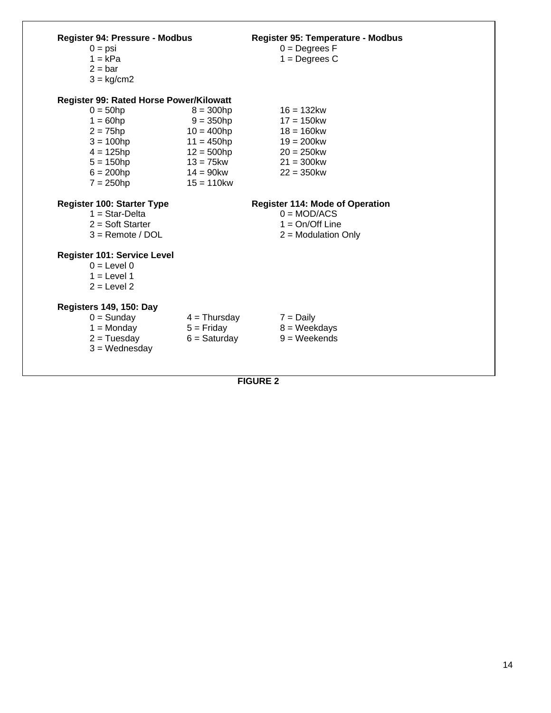#### **Register 94: Pressure - Modbus Register 95: Temperature - Modbus**

- $0 = \text{psi}$  0 = Degrees F
- $1 = kPa$   $1 = Degrees C$
- $2 = bar$
- $3 = kg/cm2$

# **Register 99: Rated Horse Power/Kilowatt**<br>0 = 50hp 8 = 300hp

 $0 = 50$ hp  $8 = 300$ hp  $16 = 132$ kw<br> $1 = 60$ hp  $9 = 350$ hp  $17 = 150$ kw  $1 = 60$ hp 9 = 350hp 17 = 150kw<br>2 = 75hp 10 = 400hp 18 = 160kw  $2 = 75$ hp  $10 = 400$ hp  $18 = 160$ kw<br> $3 = 100$ hp  $11 = 450$ hp  $19 = 200$ kw  $11 = 450$ hp  $4 = 125$ hp  $12 = 500$ hp  $20 = 250$ kw 5 = 150hp 13 = 75kw 21 = 300kw  $6 = 200$ hp  $14 = 90$ kw  $22 = 350$ kw  $7 = 250$ hp  $15 = 110$ kw

#### **Register 100: Starter Type Register 114: Mode of Operation**

- 
- 
- 

# 1 = Star-Delta  $0 = \text{MOD/ACS}$ <br>2 = Soft Starter  $1 = \text{On/Off Line}$

 $2 = Soft$  Starter  $3 =$  Remote / DOL  $2 =$  Modulation (  $2 =$  Modulation Only

#### **Register 101: Service Level**

- $0 =$ Level  $0$
- $1 =$  Level 1
- $2 =$ Level  $2$

# **Registers 149, 150: Day**

- $0 =$  Sunday  $4 =$  Thursday  $7 =$  Daily<br> $1 =$  Monday  $5 =$  Friday  $8 =$  Week  $8 = Weekdays$  $2 =$ Tuesday  $6 =$ Saturday  $9 =$ Weekends  $3 =$  Wednesday
	- **FIGURE 2**